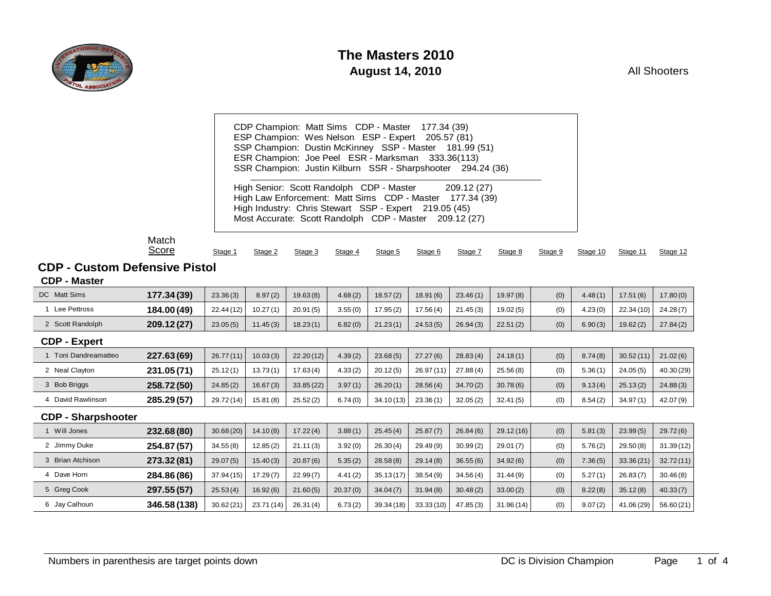

All Shooters

| CDP Champion: Matt Sims CDP - Master 177.34 (39)<br>ESP Champion: Wes Nelson ESP - Expert 205.57 (81)<br>SSP Champion: Dustin McKinney SSP - Master 181.99 (51)<br>ESR Champion: Joe Peel ESR - Marksman 333.36(113)<br>SSR Champion: Justin Kilburn SSR - Sharpshooter 294.24 (36) |  |
|-------------------------------------------------------------------------------------------------------------------------------------------------------------------------------------------------------------------------------------------------------------------------------------|--|
| High Senior: Scott Randolph CDP - Master 209.12 (27)<br>High Law Enforcement: Matt Sims CDP - Master 177.34 (39)<br>High Industry: Chris Stewart SSP - Expert 219.05 (45)<br>Most Accurate: Scott Randolph CDP - Master 209.12 (27)                                                 |  |

Match **Score** 

| Stage 1 |  | Stage 2 Stage 3 Stage 4 Stage 5 Stage 6 Stage 7 Stage 8 Stage 9 Stage 10 Stage 11 Stage 12 |  |  |  |  |  |  |  |  |  |
|---------|--|--------------------------------------------------------------------------------------------|--|--|--|--|--|--|--|--|--|
|---------|--|--------------------------------------------------------------------------------------------|--|--|--|--|--|--|--|--|--|

#### **CDP - Custom Defensive Pistol**

**CDP - Master**

| DC Matt Sims              | 177.34 (39)  | 23.36(3)   | 8.97(2)    | 19.63(8)  | 4.68(2)  | 18.57(2)  | 18.91(6)   | 23.46(1) | 19.97(8)  | (0) | 4.48(1) | 17.51(6)   | 17.80(0)   |
|---------------------------|--------------|------------|------------|-----------|----------|-----------|------------|----------|-----------|-----|---------|------------|------------|
| 1 Lee Pettross            | 184.00 (49)  | 22.44(12)  | 10.27(1)   | 20.91(5)  | 3.55(0)  | 17.95(2)  | 17.56(4)   | 21.45(3) | 19.02(5)  | (0) | 4.23(0) | 22.34(10)  | 24.28(7)   |
| 2 Scott Randolph          | 209.12(27)   | 23.05(5)   | 11.45(3)   | 18.23(1)  | 6.82(0)  | 21.23(1)  | 24.53(5)   | 26.94(3) | 22.51(2)  | (0) | 6.90(3) | 19.62(2)   | 27.84(2)   |
| <b>CDP - Expert</b>       |              |            |            |           |          |           |            |          |           |     |         |            |            |
| 1 Toni Dandreamatteo      | 227.63 (69)  | 26.77(11)  | 10.03(3)   | 22.20(12) | 4.39(2)  | 23.68(5)  | 27.27(6)   | 28.83(4) | 24.18(1)  | (0) | 8.74(8) | 30.52(11)  | 21.02(6)   |
| 2 Neal Clayton            | 231.05(71)   | 25.12(1)   | 13.73(1)   | 17.63(4)  | 4.33(2)  | 20.12(5)  | 26.97 (11) | 27.88(4) | 25.56(8)  | (0) | 5.36(1) | 24.05(5)   | 40.30 (29) |
| 3 Bob Briggs              | 258.72(50)   | 24.85(2)   | 16.67(3)   | 33.85(22) | 3.97(1)  | 26.20(1)  | 28.56(4)   | 34.70(2) | 30.78(6)  | (0) | 9.13(4) | 25.13(2)   | 24.88(3)   |
| 4 David Rawlinson         | 285.29(57)   | 29.72 (14) | 15.81(8)   | 25.52(2)  | 6.74(0)  | 34.10(13) | 23.36(1)   | 32.05(2) | 32.41(5)  | (0) | 8.54(2) | 34.97(1)   | 42.07 (9)  |
| <b>CDP - Sharpshooter</b> |              |            |            |           |          |           |            |          |           |     |         |            |            |
| 1 Will Jones              | 232.68 (80)  | 30.68(20)  | 14.10(8)   | 17.22(4)  | 3.88(1)  | 25.45(4)  | 25.87(7)   | 26.84(6) | 29.12(16) | (0) | 5.81(3) | 23.99(5)   | 29.72(6)   |
| 2 Jimmy Duke              | 254.87 (57)  | 34.55(8)   | 12.85(2)   | 21.11(3)  | 3.92(0)  | 26.30(4)  | 29.49(9)   | 30.99(2) | 29.01(7)  | (0) | 5.76(2) | 29.50(8)   | 31.39(12)  |
| 3 Brian Atchison          | 273.32(81)   | 29.07(5)   | 15.40(3)   | 20.87(6)  | 5.35(2)  | 28.58(8)  | 29.14(8)   | 36.55(6) | 34.92(6)  | (0) | 7.36(5) | 33.36(21)  | 32.72(11)  |
| 4 Dave Horn               | 284.86 (86)  | 37.94(15)  | 17.29(7)   | 22.99(7)  | 4.41(2)  | 35.13(17) | 38.54(9)   | 34.56(4) | 31.44(9)  | (0) | 5.27(1) | 26.83(7)   | 30.46(8)   |
| 5 Greg Cook               | 297.55 (57)  | 25.53(4)   | 16.92(6)   | 21.60(5)  | 20.37(0) | 34.04(7)  | 31.94(8)   | 30.48(2) | 33.00(2)  | (0) | 8.22(8) | 35.12(8)   | 40.33(7)   |
| 6 Jay Calhoun             | 346.58 (138) | 30.62(21)  | 23.71 (14) | 26.31(4)  | 6.73(2)  | 39.34(18) | 33.33(10)  | 47.85(3) | 31.96(14) | (0) | 9.07(2) | 41.06 (29) | 56.60 (21) |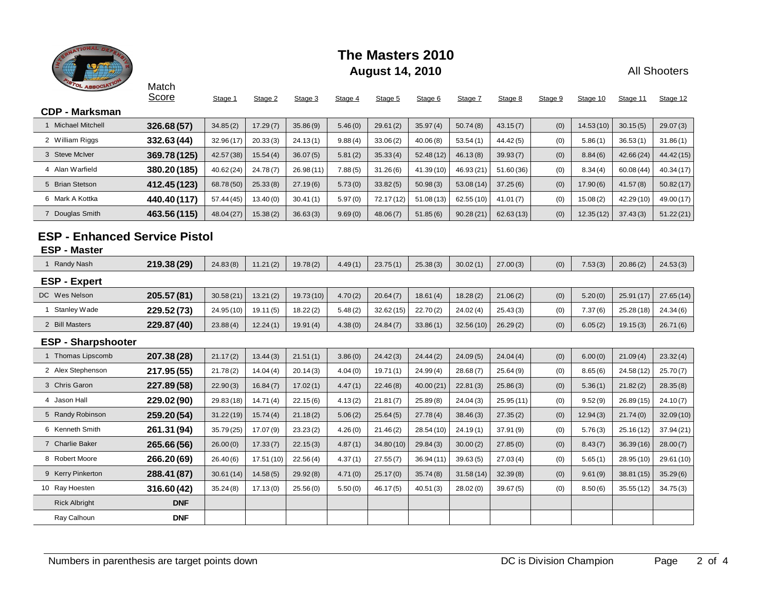

All Shooters

| <b>STOL ASSOCIATION</b>                                     | Match<br>Score | Stage 1    | Stage 2    | Stage 3   | Stage 4 | Stage 5   | Stage 6    | Stage 7    | Stage 8   | Stage 9 | Stage 10  | Stage 11   | Stage 12   |
|-------------------------------------------------------------|----------------|------------|------------|-----------|---------|-----------|------------|------------|-----------|---------|-----------|------------|------------|
| <b>CDP - Marksman</b>                                       |                |            |            |           |         |           |            |            |           |         |           |            |            |
| 1 Michael Mitchell                                          | 326.68(57)     | 34.85(2)   | 17.29(7)   | 35.86(9)  | 5.46(0) | 29.61(2)  | 35.97(4)   | 50.74(8)   | 43.15(7)  | (0)     | 14.53(10) | 30.15(5)   | 29.07(3)   |
| 2 William Riggs                                             | 332.63 (44)    | 32.96(17)  | 20.33(3)   | 24.13(1)  | 9.88(4) | 33.06(2)  | 40.06(8)   | 53.54(1)   | 44.42(5)  | (0)     | 5.86(1)   | 36.53(1)   | 31.86(1)   |
| 3 Steve McIver                                              | 369.78 (125)   | 42.57 (38) | 15.54(4)   | 36.07(5)  | 5.81(2) | 35.33(4)  | 52.48(12)  | 46.13(8)   | 39.93(7)  | (0)     | 8.84(6)   | 42.66 (24) | 44.42 (15) |
| 4 Alan Warfield                                             | 380.20 (185)   | 40.62(24)  | 24.78(7)   | 26.98(11) | 7.88(5) | 31.26(6)  | 41.39 (10) | 46.93 (21) | 51.60(36) | (0)     | 8.34(4)   | 60.08(44)  | 40.34(17)  |
| 5 Brian Stetson                                             | 412.45 (123)   | 68.78 (50) | 25.33(8)   | 27.19(6)  | 5.73(0) | 33.82(5)  | 50.98(3)   | 53.08 (14) | 37.25(6)  | (0)     | 17.90(6)  | 41.57(8)   | 50.82(17)  |
| 6 Mark A Kottka                                             | 440.40 (117)   | 57.44 (45) | 13.40(0)   | 30.41(1)  | 5.97(0) | 72.17(12) | 51.08(13)  | 62.55(10)  | 41.01(7)  | (0)     | 15.08(2)  | 42.29 (10) | 49.00 (17) |
| 7 Douglas Smith                                             | 463.56 (115)   | 48.04 (27) | 15.38(2)   | 36.63(3)  | 9.69(0) | 48.06(7)  | 51.85(6)   | 90.28(21)  | 62.63(13) | (0)     | 12.35(12) | 37.43(3)   | 51.22(21)  |
| <b>ESP - Enhanced Service Pistol</b><br><b>ESP - Master</b> |                |            |            |           |         |           |            |            |           |         |           |            |            |
| 1 Randy Nash                                                | 219.38 (29)    | 24.83(8)   | 11.21(2)   | 19.78(2)  | 4.49(1) | 23.75(1)  | 25.38(3)   | 30.02(1)   | 27.00(3)  | (0)     | 7.53(3)   | 20.86(2)   | 24.53(3)   |
| <b>ESP - Expert</b>                                         |                |            |            |           |         |           |            |            |           |         |           |            |            |
| DC Wes Nelson                                               | 205.57 (81)    | 30.58(21)  | 13.21(2)   | 19.73(10) | 4.70(2) | 20.64(7)  | 18.61(4)   | 18.28(2)   | 21.06(2)  | (0)     | 5.20(0)   | 25.91(17)  | 27.65(14)  |
| 1 Stanley Wade                                              | 229.52 (73)    | 24.95(10)  | 19.11(5)   | 18.22(2)  | 5.48(2) | 32.62(15) | 22.70(2)   | 24.02(4)   | 25.43(3)  | (0)     | 7.37(6)   | 25.28 (18) | 24.34(6)   |
| 2 Bill Masters                                              | 229.87 (40)    | 23.88(4)   | 12.24(1)   | 19.91(4)  | 4.38(0) | 24.84(7)  | 33.86(1)   | 32.56(10)  | 26.29(2)  | (0)     | 6.05(2)   | 19.15(3)   | 26.71(6)   |
| <b>ESP - Sharpshooter</b>                                   |                |            |            |           |         |           |            |            |           |         |           |            |            |
| 1 Thomas Lipscomb                                           | 207.38 (28)    | 21.17(2)   | 13.44(3)   | 21.51(1)  | 3.86(0) | 24.42(3)  | 24.44(2)   | 24.09(5)   | 24.04(4)  | (0)     | 6.00(0)   | 21.09(4)   | 23.32(4)   |
| 2 Alex Stephenson                                           | 217.95 (55)    | 21.78(2)   | 14.04(4)   | 20.14(3)  | 4.04(0) | 19.71(1)  | 24.99(4)   | 28.68(7)   | 25.64(9)  | (0)     | 8.65(6)   | 24.58 (12) | 25.70(7)   |
| 3 Chris Garon                                               | 227.89 (58)    | 22.90(3)   | 16.84(7)   | 17.02(1)  | 4.47(1) | 22.46(8)  | 40.00(21)  | 22.81(3)   | 25.86(3)  | (0)     | 5.36(1)   | 21.82(2)   | 28.35(8)   |
| 4 Jason Hall                                                | 229.02 (90)    | 29.83(18)  | 14.71(4)   | 22.15(6)  | 4.13(2) | 21.81(7)  | 25.89(8)   | 24.04(3)   | 25.95(11) | (0)     | 9.52(9)   | 26.89(15)  | 24.10(7)   |
| 5 Randy Robinson                                            | 259.20 (54)    | 31.22(19)  | 15.74(4)   | 21.18(2)  | 5.06(2) | 25.64(5)  | 27.78(4)   | 38.46(3)   | 27.35(2)  | (0)     | 12.94(3)  | 21.74(0)   | 32.09 (10) |
| 6 Kenneth Smith                                             | 261.31 (94)    | 35.79 (25) | 17.07(9)   | 23.23(2)  | 4.26(0) | 21.46(2)  | 28.54 (10) | 24.19(1)   | 37.91 (9) | (0)     | 5.76(3)   | 25.16(12)  | 37.94 (21) |
| 7 Charlie Baker                                             | 265.66 (56)    | 26.00(0)   | 17.33(7)   | 22.15(3)  | 4.87(1) | 34.80(10) | 29.84(3)   | 30.00(2)   | 27.85(0)  | (0)     | 8.43(7)   | 36.39(16)  | 28.00(7)   |
| 8 Robert Moore                                              | 266.20 (69)    | 26.40(6)   | 17.51 (10) | 22.56(4)  | 4.37(1) | 27.55(7)  | 36.94(11)  | 39.63(5)   | 27.03(4)  | (0)     | 5.65(1)   | 28.95 (10) | 29.61 (10) |
| 9 Kerry Pinkerton                                           | 288.41 (87)    | 30.61(14)  | 14.58(5)   | 29.92(8)  | 4.71(0) | 25.17(0)  | 35.74(8)   | 31.58(14)  | 32.39(8)  | (0)     | 9.61(9)   | 38.81 (15) | 35.29(6)   |
| 10 Ray Hoesten                                              | 316.60(42)     | 35.24(8)   | 17.13(0)   | 25.56(0)  | 5.50(0) | 46.17(5)  | 40.51(3)   | 28.02(0)   | 39.67(5)  | (0)     | 8.50(6)   | 35.55(12)  | 34.75(3)   |
| <b>Rick Albright</b>                                        | <b>DNF</b>     |            |            |           |         |           |            |            |           |         |           |            |            |
| Ray Calhoun                                                 | <b>DNF</b>     |            |            |           |         |           |            |            |           |         |           |            |            |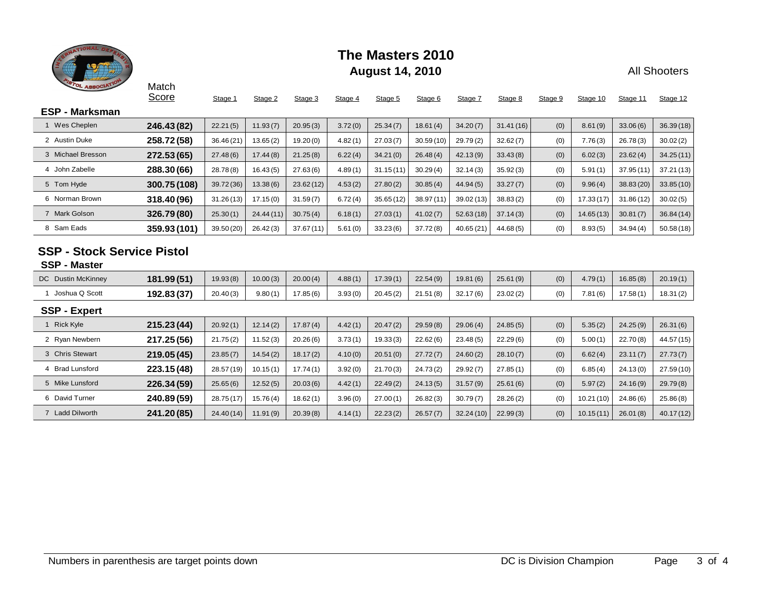

All Shooters

| <b>PISTOL ASSOCIATION</b>                                | Match<br>Score | Stage 1    | Stage 2   | Stage 3   | Stage 4 | Stage 5   | Stage 6   | Stage 7    | Stage 8   | Stage 9 | Stage 10  | Stage 11   | Stage 12   |
|----------------------------------------------------------|----------------|------------|-----------|-----------|---------|-----------|-----------|------------|-----------|---------|-----------|------------|------------|
| <b>ESP - Marksman</b>                                    |                |            |           |           |         |           |           |            |           |         |           |            |            |
| 1 Wes Cheplen                                            | 246.43 (82)    | 22.21(5)   | 11.93(7)  | 20.95(3)  | 3.72(0) | 25.34(7)  | 18.61(4)  | 34.20(7)   | 31.41(16) | (0)     | 8.61(9)   | 33.06(6)   | 36.39(18)  |
| 2 Austin Duke                                            | 258.72(58)     | 36.46(21)  | 13.65(2)  | 19.20(0)  | 4.82(1) | 27.03(7)  | 30.59(10) | 29.79(2)   | 32.62(7)  | (0)     | 7.76(3)   | 26.78(3)   | 30.02(2)   |
| 3 Michael Bresson                                        | 272.53 (65)    | 27.48(6)   | 17.44(8)  | 21.25(8)  | 6.22(4) | 34.21(0)  | 26.48(4)  | 42.13(9)   | 33.43(8)  | (0)     | 6.02(3)   | 23.62(4)   | 34.25(11)  |
| 4 John Zabelle                                           | 288.30 (66)    | 28.78(8)   | 16.43(5)  | 27.63(6)  | 4.89(1) | 31.15(11) | 30.29(4)  | 32.14(3)   | 35.92(3)  | (0)     | 5.91(1)   | 37.95(11)  | 37.21(13)  |
| 5 Tom Hyde                                               | 300.75 (108)   | 39.72 (36) | 13.38(6)  | 23.62(12) | 4.53(2) | 27.80(2)  | 30.85(4)  | 44.94(5)   | 33.27(7)  | (0)     | 9.96(4)   | 38.83 (20) | 33.85(10)  |
| 6 Norman Brown                                           | 318.40 (96)    | 31.26(13)  | 17.15(0)  | 31.59(7)  | 6.72(4) | 35.65(12) | 38.97(11) | 39.02 (13) | 38.83(2)  | (0)     | 17.33(17) | 31.86(12)  | 30.02(5)   |
| 7 Mark Golson                                            | 326.79(80)     | 25.30(1)   | 24.44(11) | 30.75(4)  | 6.18(1) | 27.03(1)  | 41.02(7)  | 52.63(18)  | 37.14(3)  | (0)     | 14.65(13) | 30.81(7)   | 36.84(14)  |
| 8 Sam Eads                                               | 359.93 (101)   | 39.50 (20) | 26.42(3)  | 37.67(11) | 5.61(0) | 33.23(6)  | 37.72(8)  | 40.65 (21) | 44.68(5)  | (0)     | 8.93(5)   | 34.94(4)   | 50.58(18)  |
| <b>SSP - Stock Service Pistol</b><br><b>SSP - Master</b> |                |            |           |           |         |           |           |            |           |         |           |            |            |
| <b>DC</b> Dustin McKinney                                | 181.99(51)     | 19.93(8)   | 10.00(3)  | 20.00(4)  | 4.88(1) | 17.39(1)  | 22.54(9)  | 19.81(6)   | 25.61(9)  | (0)     | 4.79(1)   | 16.85(8)   | 20.19(1)   |
| 1 Joshua Q Scott                                         | 192.83 (37)    | 20.40(3)   | 9.80(1)   | 17.85(6)  | 3.93(0) | 20.45(2)  | 21.51(8)  | 32.17(6)   | 23.02(2)  | (0)     | 7.81(6)   | 17.58(1)   | 18.31(2)   |
| <b>SSP - Expert</b>                                      |                |            |           |           |         |           |           |            |           |         |           |            |            |
| 1 Rick Kyle                                              | 215.23 (44)    | 20.92(1)   | 12.14(2)  | 17.87(4)  | 4.42(1) | 20.47(2)  | 29.59(8)  | 29.06(4)   | 24.85(5)  | (0)     | 5.35(2)   | 24.25(9)   | 26.31(6)   |
| 2 Ryan Newbern                                           | 217.25 (56)    | 21.75(2)   | 11.52(3)  | 20.26(6)  | 3.73(1) | 19.33(3)  | 22.62(6)  | 23.48(5)   | 22.29(6)  | (0)     | 5.00(1)   | 22.70(8)   | 44.57 (15) |
| 3 Chris Stewart                                          | 219.05 (45)    | 23.85(7)   | 14.54(2)  | 18.17(2)  | 4.10(0) | 20.51(0)  | 27.72(7)  | 24.60(2)   | 28.10(7)  | (0)     | 6.62(4)   | 23.11(7)   | 27.73(7)   |
| 4 Brad Lunsford                                          | 223.15 (48)    | 28.57 (19) | 10.15(1)  | 17.74(1)  | 3.92(0) | 21.70(3)  | 24.73(2)  | 29.92(7)   | 27.85(1)  | (0)     | 6.85(4)   | 24.13(0)   | 27.59(10)  |
| 5 Mike Lunsford                                          | 226.34 (59)    | 25.65(6)   | 12.52(5)  | 20.03(6)  | 4.42(1) | 22.49(2)  | 24.13(5)  | 31.57(9)   | 25.61(6)  | (0)     | 5.97(2)   | 24.16(9)   | 29.79(8)   |
| 6 David Turner                                           | 240.89 (59)    | 28.75(17)  | 15.76(4)  | 18.62(1)  | 3.96(0) | 27.00(1)  | 26.82(3)  | 30.79(7)   | 28.26(2)  | (0)     | 10.21(10) | 24.86(6)   | 25.86(8)   |
| 7 Ladd Dilworth                                          | 241.20 (85)    | 24.40(14)  | 11.91(9)  | 20.39(8)  | 4.14(1) | 22.23(2)  | 26.57(7)  | 32.24(10)  | 22.99(3)  | (0)     | 10.15(11) | 26.01(8)   | 40.17(12)  |